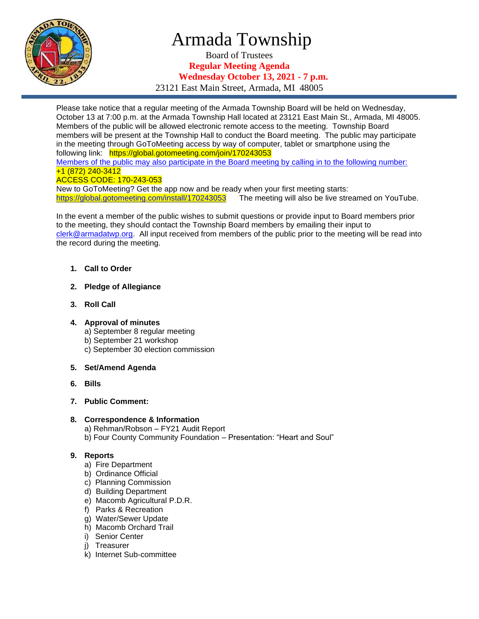

# Armada Township

Board of Trustees **Regular Meeting Agenda Wednesday October 13, 2021 - 7 p.m.**

23121 East Main Street, Armada, MI 48005

Please take notice that a regular meeting of the Armada Township Board will be held on Wednesday, October 13 at 7:00 p.m. at the Armada Township Hall located at 23121 East Main St., Armada, MI 48005. Members of the public will be allowed electronic remote access to the meeting. Township Board members will be present at the Township Hall to conduct the Board meeting. The public may participate in the meeting through GoToMeeting access by way of computer, tablet or smartphone using the following link: https://global.gotomeeting.com/join/170243053 Members of the public may also participate in the Board meeting by calling in to the following number: +1 (872) 240-3412

#### ACCESS CODE: 170-243-053

New to GoToMeeting? Get the app now and be ready when your first meeting starts: [https://global.gotomeeting.com/install/170243053](https://global.gotomeeting.com/install/647903989) The meeting will also be live streamed on YouTube.

In the event a member of the public wishes to submit questions or provide input to Board members prior to the meeting, they should contact the Township Board members by emailing their input to [clerk@armadatwp.org.](mailto:clerk@armadatwp.org) All input received from members of the public prior to the meeting will be read into the record during the meeting.

- **1. Call to Order**
- **2. Pledge of Allegiance**
- **3. Roll Call**
- **4. Approval of minutes** 
	- a) September 8 regular meeting
	- b) September 21 workshop
	- c) September 30 election commission
- **5. Set/Amend Agenda**
- **6. Bills**
- **7. Public Comment:**

### **8. Correspondence & Information**

a) Rehman/Robson – FY21 Audit Report b) Four County Community Foundation – Presentation: "Heart and Soul"

### **9. Reports**

- a) Fire Department
- b) Ordinance Official
- c) Planning Commission
- d) Building Department
- e) Macomb Agricultural P.D.R.
- f) Parks & Recreation
- g) Water/Sewer Update
- h) Macomb Orchard Trail
- i) Senior Center
- j) Treasurer
- k) Internet Sub-committee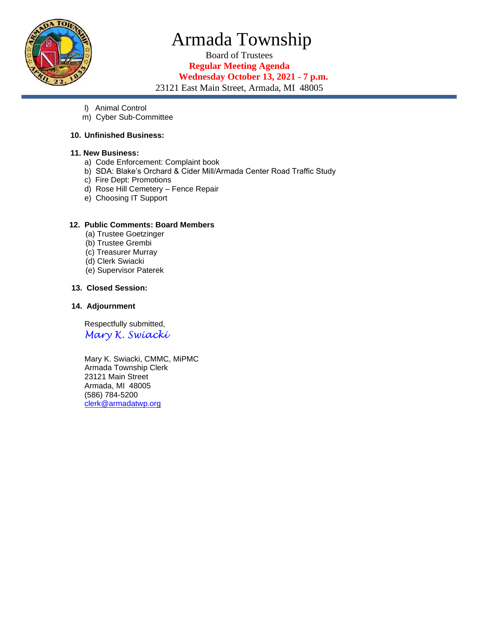

# Armada Township

Board of Trustees **Regular Meeting Agenda Wednesday October 13, 2021 - 7 p.m.**

23121 East Main Street, Armada, MI 48005

- l) Animal Control
- m) Cyber Sub-Committee

#### **10. Unfinished Business:**

#### **11. New Business:**

- a) Code Enforcement: Complaint book
- b) SDA: Blake's Orchard & Cider Mill/Armada Center Road Traffic Study
- c) Fire Dept: Promotions
- d) Rose Hill Cemetery Fence Repair
- e) Choosing IT Support

#### **12. Public Comments: Board Members**

- (a) Trustee Goetzinger
- (b) Trustee Grembi
- (c) Treasurer Murray
- (d) Clerk Swiacki
- (e) Supervisor Paterek

#### **13. Closed Session:**

#### **14. Adjournment**

 Respectfully submitted, *Mary K. Swiacki*

 Mary K. Swiacki, CMMC, MiPMC Armada Township Clerk 23121 Main Street Armada, MI 48005 (586) 784-5200 [clerk@armadatwp.org](mailto:clerk@armadatwp.org)